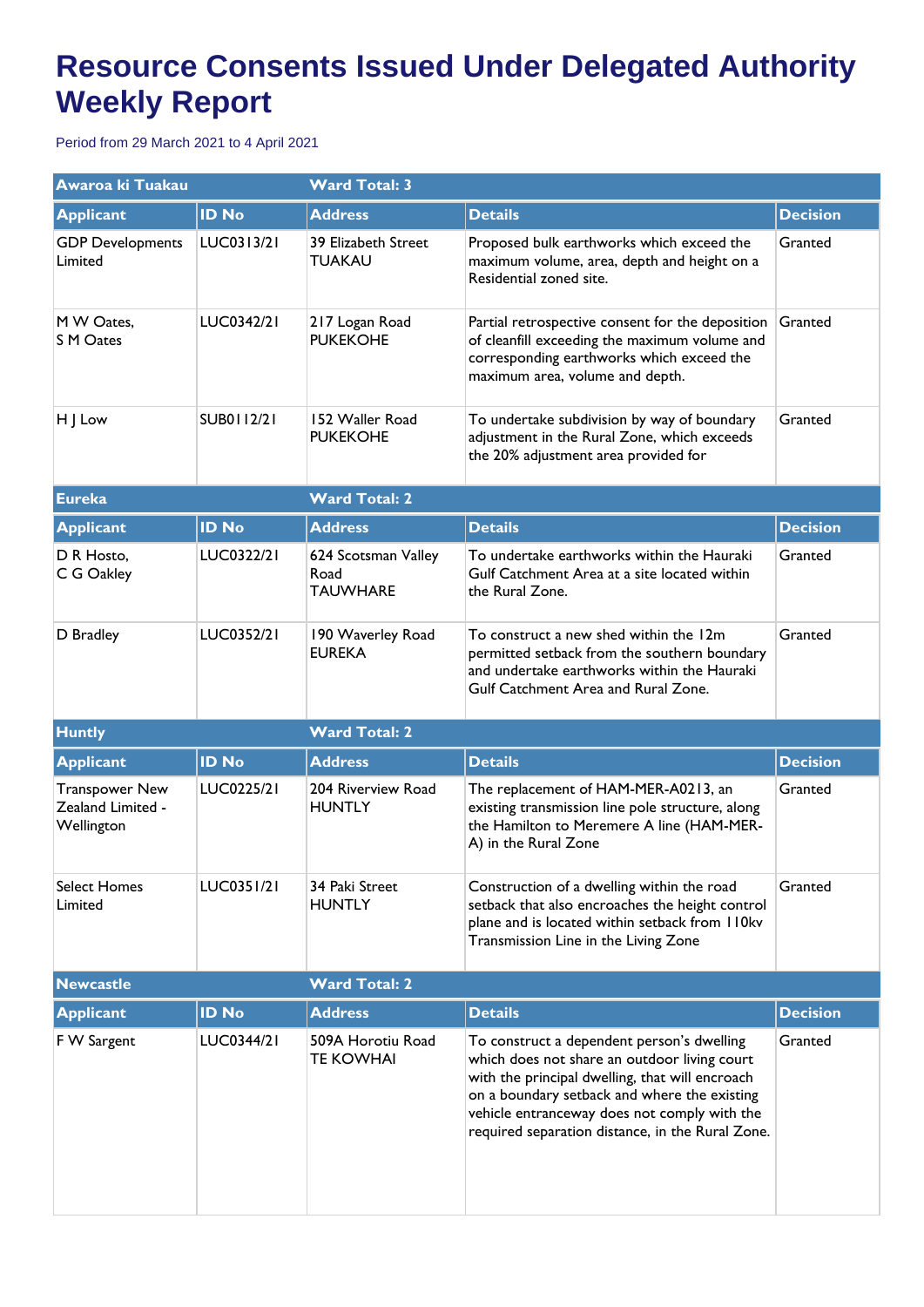## **Resource Consents Issued Under Delegated Authority Weekly Report**

Period from 29 March 2021 to 4 April 2021

| Awaroa ki Tuakau                                         |              | <b>Ward Total: 3</b>                           |                                                                                                                                                                                                                                                                                                   |                 |  |
|----------------------------------------------------------|--------------|------------------------------------------------|---------------------------------------------------------------------------------------------------------------------------------------------------------------------------------------------------------------------------------------------------------------------------------------------------|-----------------|--|
| <b>Applicant</b>                                         | <b>ID No</b> | <b>Address</b>                                 | <b>Details</b>                                                                                                                                                                                                                                                                                    | <b>Decision</b> |  |
| <b>GDP</b> Developments<br>Limited                       | LUC0313/21   | 39 Elizabeth Street<br><b>TUAKAU</b>           | Proposed bulk earthworks which exceed the<br>maximum volume, area, depth and height on a<br>Residential zoned site.                                                                                                                                                                               | Granted         |  |
| M W Oates,<br><b>S M Oates</b>                           | LUC0342/21   | 217 Logan Road<br><b>PUKEKOHE</b>              | Partial retrospective consent for the deposition<br>of cleanfill exceeding the maximum volume and<br>corresponding earthworks which exceed the<br>maximum area, volume and depth.                                                                                                                 | Granted         |  |
| H J Low                                                  | SUB0112/21   | 152 Waller Road<br><b>PUKEKOHE</b>             | To undertake subdivision by way of boundary<br>adjustment in the Rural Zone, which exceeds<br>the 20% adjustment area provided for                                                                                                                                                                | Granted         |  |
| <b>Eureka</b>                                            |              | <b>Ward Total: 2</b>                           |                                                                                                                                                                                                                                                                                                   |                 |  |
| <b>Applicant</b>                                         | <b>ID No</b> | <b>Address</b>                                 | <b>Details</b>                                                                                                                                                                                                                                                                                    | <b>Decision</b> |  |
| D R Hosto,<br>C G Oakley                                 | LUC0322/21   | 624 Scotsman Valley<br>Road<br><b>TAUWHARE</b> | To undertake earthworks within the Hauraki<br>Gulf Catchment Area at a site located within<br>the Rural Zone.                                                                                                                                                                                     | Granted         |  |
| D Bradley                                                | LUC0352/21   | 190 Waverley Road<br><b>EUREKA</b>             | To construct a new shed within the 12m<br>permitted setback from the southern boundary<br>and undertake earthworks within the Hauraki<br>Gulf Catchment Area and Rural Zone.                                                                                                                      | Granted         |  |
| <b>Huntly</b>                                            |              | <b>Ward Total: 2</b>                           |                                                                                                                                                                                                                                                                                                   |                 |  |
| <b>Applicant</b>                                         | <b>ID No</b> | <b>Address</b>                                 | <b>Details</b>                                                                                                                                                                                                                                                                                    | <b>Decision</b> |  |
| <b>Transpower New</b><br>Zealand Limited -<br>Wellington | LUC0225/21   | 204 Riverview Road<br><b>HUNTLY</b>            | The replacement of HAM-MER-A0213, an<br>existing transmission line pole structure, along<br>the Hamilton to Meremere A line (HAM-MER-<br>A) in the Rural Zone                                                                                                                                     | Granted         |  |
| <b>Select Homes</b><br>Limited                           | LUC0351/21   | 34 Paki Street<br><b>HUNTLY</b>                | Construction of a dwelling within the road<br>setback that also encroaches the height control<br>plane and is located within setback from 110kv<br>Transmission Line in the Living Zone                                                                                                           | Granted         |  |
| <b>Newcastle</b>                                         |              | <b>Ward Total: 2</b>                           |                                                                                                                                                                                                                                                                                                   |                 |  |
| <b>Applicant</b>                                         | <b>ID No</b> | <b>Address</b>                                 | <b>Details</b>                                                                                                                                                                                                                                                                                    | <b>Decision</b> |  |
| F W Sargent                                              | LUC0344/21   | 509A Horotiu Road<br><b>TE KOWHAI</b>          | To construct a dependent person's dwelling<br>which does not share an outdoor living court<br>with the principal dwelling, that will encroach<br>on a boundary setback and where the existing<br>vehicle entranceway does not comply with the<br>required separation distance, in the Rural Zone. | Granted         |  |